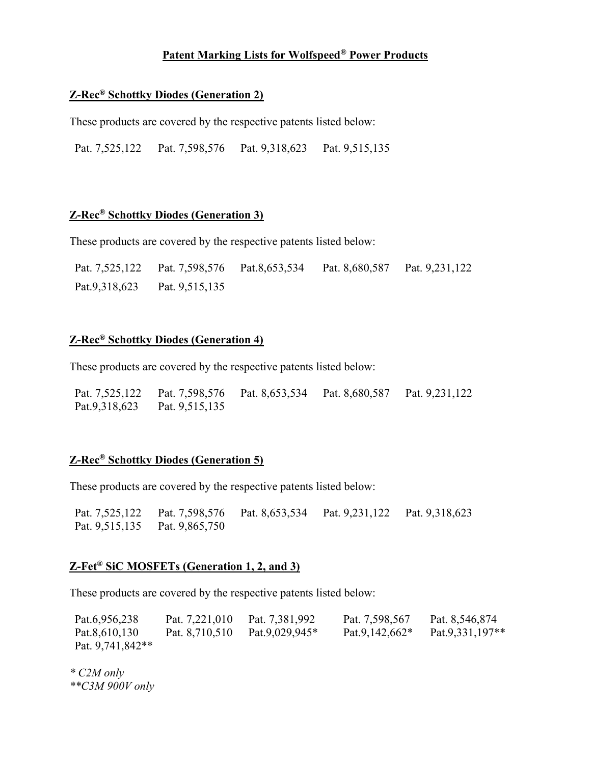## Patent Marking Lists for Wolfspeed® Power Products

#### Z-Rec® Schottky Diodes (Generation 2)

These products are covered by the respective patents listed below:

Pat. 7,525,122 Pat. 7,598,576 Pat. 9,318,623 Pat. 9,515,135

## Z-Rec® Schottky Diodes (Generation 3)

These products are covered by the respective patents listed below:

| Pat. 7,525,122 | Pat. 7,598,576 Pat.8,653,534 | Pat. 8,680,587 | Pat. 9,231,122 |
|----------------|------------------------------|----------------|----------------|
| Pat.9,318,623  | Pat. 9,515,135               |                |                |

## Z-Rec® Schottky Diodes (Generation 4)

These products are covered by the respective patents listed below:

| Pat. 7,525,122 |                | Pat. 7,598,576 Pat. 8,653,534 Pat. 8,680,587 | Pat. 9,231,122 |
|----------------|----------------|----------------------------------------------|----------------|
| Pat.9,318,623  | Pat. 9,515,135 |                                              |                |

# Z-Rec® Schottky Diodes (Generation 5)

These products are covered by the respective patents listed below:

Pat. 7,525,122 Pat. 7,598,576 Pat. 8,653,534 Pat. 9,231,122 Pat. 9,318,623 Pat. 9,515,135 Pat. 9,865,750

#### Z-Fet® SiC MOSFETs (Generation 1, 2, and 3)

These products are covered by the respective patents listed below:

| Pat.6,956,238      | Pat. 7,221,010 | Pat. 7,381,992 | Pat. 7,598,567    | Pat. 8,546,874  |
|--------------------|----------------|----------------|-------------------|-----------------|
| Pat.8,610,130      | Pat. 8,710,510 | Pat.9,029,945* | Pat.9,142,662 $*$ | Pat.9.331,197** |
| Pat. $9,741,842**$ |                |                |                   |                 |

\* C2M only \*\*C3M 900V only